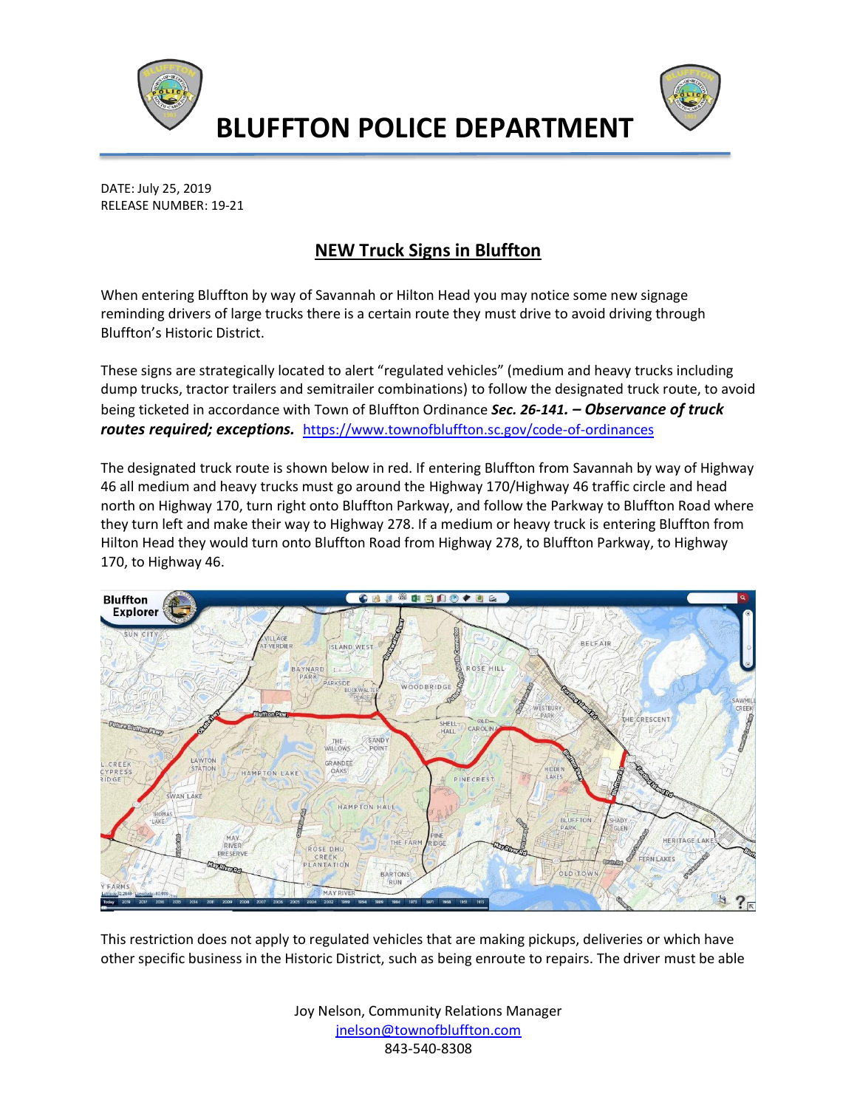



**BLUFFTON POLICE DEPARTMENT**

DATE: July 25, 2019 RELEASE NUMBER: 19-21

## **NEW Truck Signs in Bluffton**

When entering Bluffton by way of Savannah or Hilton Head you may notice some new signage reminding drivers of large trucks there is a certain route they must drive to avoid driving through Bluffton's Historic District.

These signs are strategically located to alert "regulated vehicles" (medium and heavy trucks including dump trucks, tractor trailers and semitrailer combinations) to follow the designated truck route, to avoid being ticketed in accordance with Town of Bluffton Ordinance *Sec. 26-141. – Observance of truck routes required; exceptions.* <https://www.townofbluffton.sc.gov/code-of-ordinances>

The designated truck route is shown below in red. If entering Bluffton from Savannah by way of Highway 46 all medium and heavy trucks must go around the Highway 170/Highway 46 traffic circle and head north on Highway 170, turn right onto Bluffton Parkway, and follow the Parkway to Bluffton Road where they turn left and make their way to Highway 278. If a medium or heavy truck is entering Bluffton from Hilton Head they would turn onto Bluffton Road from Highway 278, to Bluffton Parkway, to Highway 170, to Highway 46.



This restriction does not apply to regulated vehicles that are making pickups, deliveries or which have other specific business in the Historic District, such as being enroute to repairs. The driver must be able

> Joy Nelson, Community Relations Manager [jnelson@townofbluffton.com](mailto:jnelson@townofbluffton.com) 843-540-8308